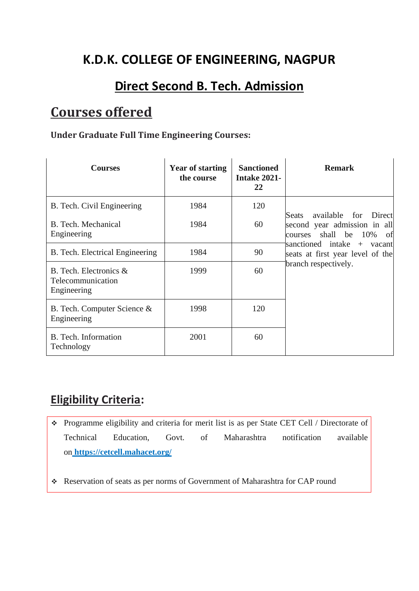## **K.D.K. COLLEGE OF ENGINEERING, NAGPUR**

### **Direct Second B. Tech. Admission**

# **Courses offered**

#### **Under Graduate Full Time Engineering Courses:**

| <b>Courses</b>                                                | <b>Year of starting</b><br>the course | <b>Sanctioned</b><br><b>Intake 2021-</b><br>22 | <b>Remark</b>                                                                                            |
|---------------------------------------------------------------|---------------------------------------|------------------------------------------------|----------------------------------------------------------------------------------------------------------|
| B. Tech. Civil Engineering                                    | 1984                                  | 120                                            | available for<br>Direct<br><b>Seats</b><br>second year admission in all<br>shall be 10%<br>of<br>courses |
| B. Tech. Mechanical<br>Engineering                            | 1984                                  | 60                                             |                                                                                                          |
| B. Tech. Electrical Engineering                               | 1984                                  | 90                                             | sanctioned intake<br>+ vacant<br>seats at first year level of the                                        |
| B. Tech. Electronics $\&$<br>Telecommunication<br>Engineering | 1999                                  | 60                                             | branch respectively.                                                                                     |
| B. Tech. Computer Science &<br>Engineering                    | 1998                                  | 120                                            |                                                                                                          |
| B. Tech. Information<br>Technology                            | 2001                                  | 60                                             |                                                                                                          |

### **Eligibility Criteria:**

- ❖ Programme eligibility and criteria for merit list is as per State CET Cell / Directorate of Technical Education, Govt. of Maharashtra notification available on **<https://cetcell.mahacet.org/>**
- ❖ Reservation of seats as per norms of Government of Maharashtra for CAP round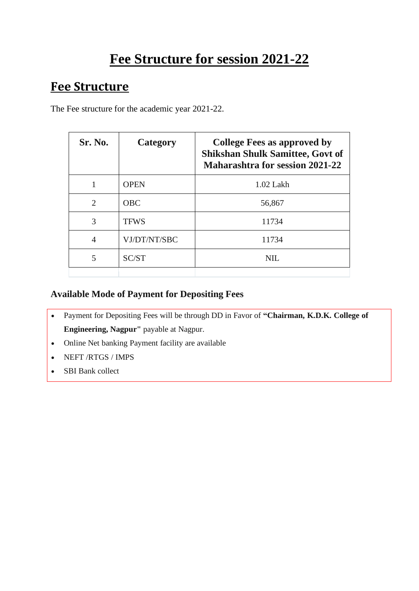# **Fee Structure for session 2021-22**

### **Fee Structure**

The Fee structure for the academic year 2021-22.

| Sr. No.                     | Category     | <b>College Fees as approved by</b><br><b>Shikshan Shulk Samittee, Govt of</b><br><b>Maharashtra for session 2021-22</b> |
|-----------------------------|--------------|-------------------------------------------------------------------------------------------------------------------------|
|                             | <b>OPEN</b>  | $1.02$ Lakh                                                                                                             |
| $\mathcal{D}_{\mathcal{L}}$ | <b>OBC</b>   | 56,867                                                                                                                  |
| 3                           | <b>TFWS</b>  | 11734                                                                                                                   |
| 4                           | VJ/DT/NT/SBC | 11734                                                                                                                   |
| 5                           | SC/ST        | NIL.                                                                                                                    |
|                             |              |                                                                                                                         |

#### **Available Mode of Payment for Depositing Fees**

- Payment for Depositing Fees will be through DD in Favor of **"Chairman, K.D.K. College of Engineering, Nagpur"** payable at Nagpur.
- Online Net banking Payment facility are available
- NEFT /RTGS / IMPS
- SBI Bank collect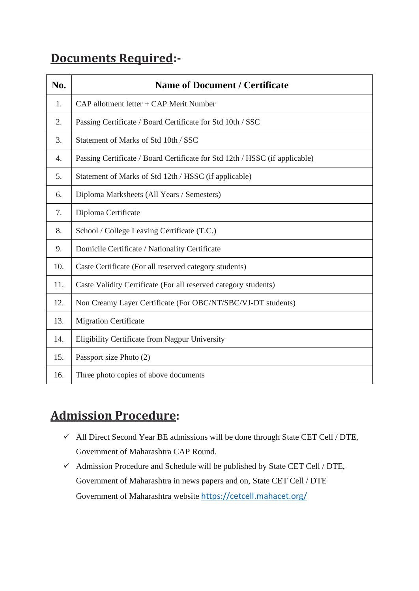## **Documents Required:-**

| N <sub>0</sub> . | <b>Name of Document / Certificate</b>                                       |
|------------------|-----------------------------------------------------------------------------|
| 1.               | $CAP$ allotment letter + CAP Merit Number                                   |
| 2.               | Passing Certificate / Board Certificate for Std 10th / SSC                  |
| 3.               | Statement of Marks of Std 10th / SSC                                        |
| 4.               | Passing Certificate / Board Certificate for Std 12th / HSSC (if applicable) |
| 5.               | Statement of Marks of Std 12th / HSSC (if applicable)                       |
| 6.               | Diploma Marksheets (All Years / Semesters)                                  |
| 7.               | Diploma Certificate                                                         |
| 8.               | School / College Leaving Certificate (T.C.)                                 |
| 9.               | Domicile Certificate / Nationality Certificate                              |
| 10.              | Caste Certificate (For all reserved category students)                      |
| 11.              | Caste Validity Certificate (For all reserved category students)             |
| 12.              | Non Creamy Layer Certificate (For OBC/NT/SBC/VJ-DT students)                |
| 13.              | <b>Migration Certificate</b>                                                |
| 14.              | Eligibility Certificate from Nagpur University                              |
| 15.              | Passport size Photo (2)                                                     |
| 16.              | Three photo copies of above documents                                       |

# **Admission Procedure:**

- ✓ All Direct Second Year BE admissions will be done through State CET Cell / DTE, Government of Maharashtra CAP Round.
- $\checkmark$  Admission Procedure and Schedule will be published by State CET Cell / DTE, Government of Maharashtra in news papers and on, State CET Cell / DTE Government of Maharashtra website <https://cetcell.mahacet.org/>